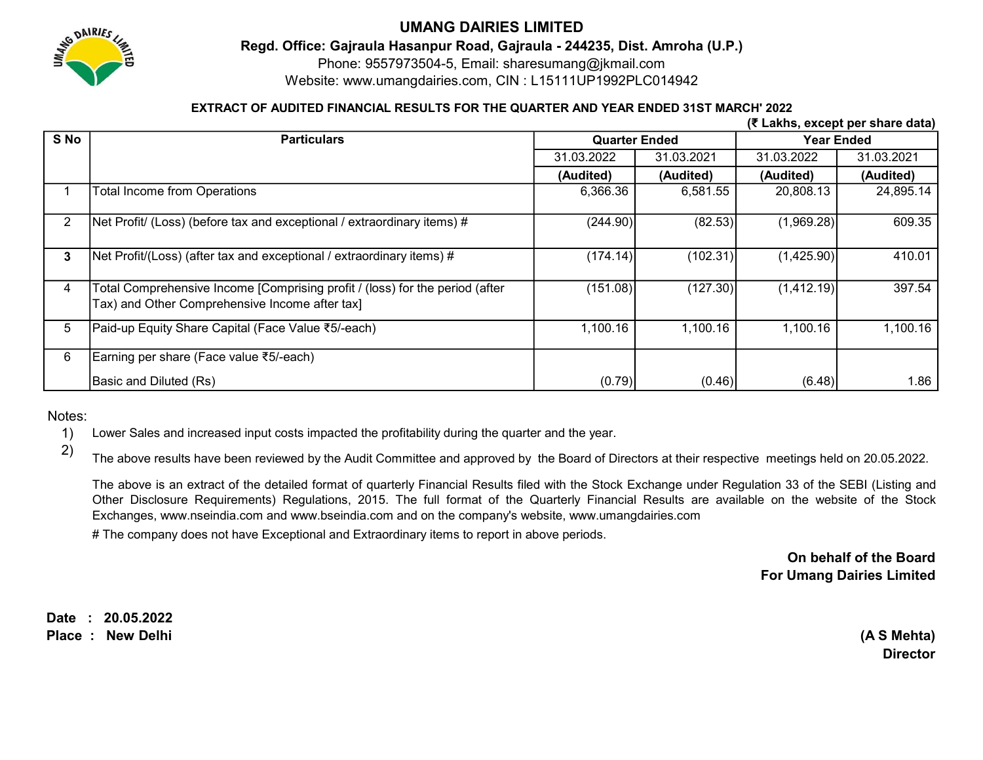

# UMANG DAIRIES LIMITED

Regd. Office: Gajraula Hasanpur Road, Gajraula - 244235, Dist. Amroha (U.P.)

Phone: 9557973504-5, Email: sharesumang@jkmail.com

Website: www.umangdairies.com, CIN : L15111UP1992PLC014942

### EXTRACT OF AUDITED FINANCIAL RESULTS FOR THE QUARTER AND YEAR ENDED 31ST MARCH' 2022

|                       |                                                                                                                                |                      |            |                   | (₹ Lakhs, except per share data) |
|-----------------------|--------------------------------------------------------------------------------------------------------------------------------|----------------------|------------|-------------------|----------------------------------|
| S No                  | <b>Particulars</b>                                                                                                             | <b>Quarter Ended</b> |            | <b>Year Ended</b> |                                  |
|                       |                                                                                                                                | 31.03.2022           | 31.03.2021 | 31.03.2022        | 31.03.2021                       |
|                       |                                                                                                                                | (Audited)            | (Audited)  | (Audited)         | (Audited)                        |
|                       | Total Income from Operations                                                                                                   | 6,366.36             | 6,581.55   | 20,808.13         | 24,895.14                        |
| $\mathbf{2}^{\prime}$ | Net Profit/ (Loss) (before tax and exceptional / extraordinary items) #                                                        | (244.90)             | (82.53)    | (1,969.28)        | 609.35                           |
| 3                     | Net Profit/(Loss) (after tax and exceptional / extraordinary items) #                                                          | (174.14)             | (102.31)   | (1,425.90)        | 410.01                           |
| 4                     | Total Comprehensive Income [Comprising profit / (loss) for the period (after<br>Tax) and Other Comprehensive Income after tax] | (151.08)             | (127.30)   | (1,412.19)        | 397.54                           |
| 5                     | Paid-up Equity Share Capital (Face Value ₹5/-each)                                                                             | 1,100.16             | 1,100.16   | 1,100.16          | 1,100.16                         |
| 6                     | Earning per share (Face value ₹5/-each)                                                                                        |                      |            |                   |                                  |
|                       | Basic and Diluted (Rs)                                                                                                         | (0.79)               | (0.46)     | (6.48)            | 1.86                             |

Notes:

1) Lower Sales and increased input costs impacted the profitability during the quarter and the year.

2)

The above results have been reviewed by the Audit Committee and approved by the Board of Directors at their respective meetings held on 20.05.2022.

The above is an extract of the detailed format of quarterly Financial Results filed with the Stock Exchange under Regulation 33 of the SEBI (Listing and Other Disclosure Requirements) Regulations, 2015. The full format of the Quarterly Financial Results are available on the website of the Stock Exchanges, www.nseindia.com and www.bseindia.com and on the company's website, www.umangdairies.com

# The company does not have Exceptional and Extraordinary items to report in above periods.

### On behalf of the Board For Umang Dairies Limited

Date : 20.05.2022

Place : New Delhi (A S Mehta)

**Director**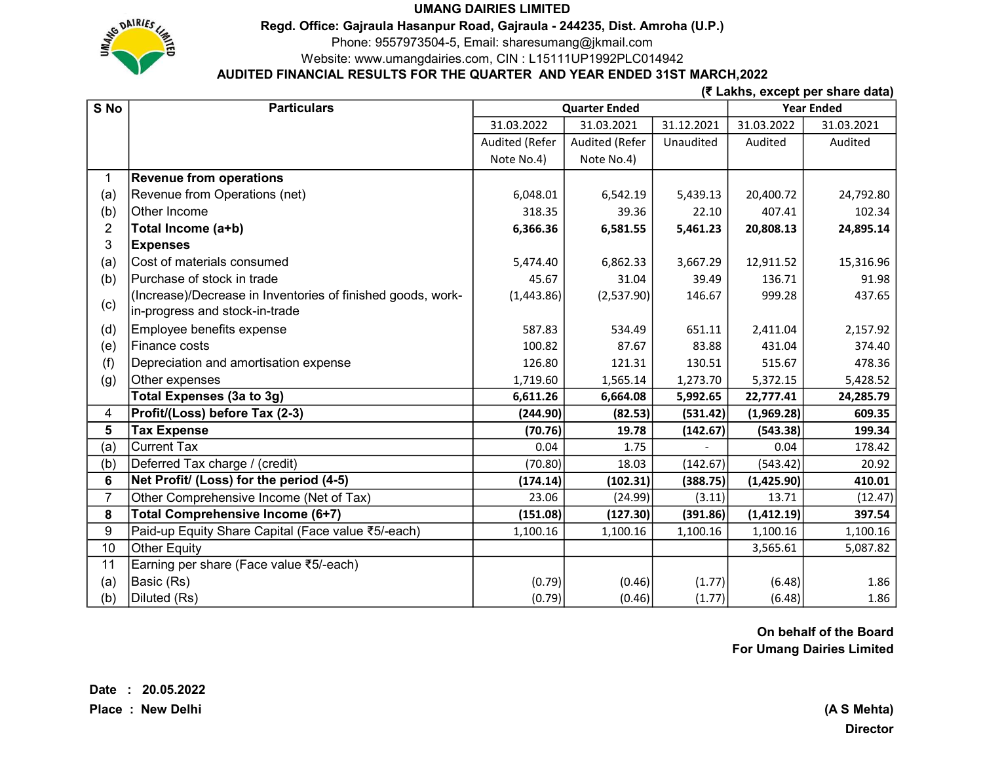### UMANG DAIRIES LIMITED



Regd. Office: Gajraula Hasanpur Road, Gajraula - 244235, Dist. Amroha (U.P.)

Phone: 9557973504-5, Email: sharesumang@jkmail.com

Website: www.umangdairies.com, CIN : L15111UP1992PLC014942

## AUDITED FINANCIAL RESULTS FOR THE QUARTER AND YEAR ENDED 31ST MARCH,2022

(₹ Lakhs, except per share data)

| S No           | <b>Particulars</b>                                          | <b>Quarter Ended</b> |                |            | <b>Year Ended</b> |            |
|----------------|-------------------------------------------------------------|----------------------|----------------|------------|-------------------|------------|
|                |                                                             | 31.03.2022           | 31.03.2021     | 31.12.2021 | 31.03.2022        | 31.03.2021 |
|                |                                                             | Audited (Refer       | Audited (Refer | Unaudited  | Audited           | Audited    |
|                |                                                             | Note No.4)           | Note No.4)     |            |                   |            |
| 1              | <b>Revenue from operations</b>                              |                      |                |            |                   |            |
| (a)            | Revenue from Operations (net)                               | 6,048.01             | 6,542.19       | 5,439.13   | 20,400.72         | 24,792.80  |
| (b)            | Other Income                                                | 318.35               | 39.36          | 22.10      | 407.41            | 102.34     |
| 2              | Total Income (a+b)                                          | 6,366.36             | 6,581.55       | 5,461.23   | 20,808.13         | 24,895.14  |
| 3              | <b>Expenses</b>                                             |                      |                |            |                   |            |
| (a)            | Cost of materials consumed                                  | 5,474.40             | 6,862.33       | 3,667.29   | 12,911.52         | 15,316.96  |
| (b)            | Purchase of stock in trade                                  | 45.67                | 31.04          | 39.49      | 136.71            | 91.98      |
|                | (Increase)/Decrease in Inventories of finished goods, work- | (1,443.86)           | (2,537.90)     | 146.67     | 999.28            | 437.65     |
| (c)            | in-progress and stock-in-trade                              |                      |                |            |                   |            |
| (d)            | Employee benefits expense                                   | 587.83               | 534.49         | 651.11     | 2,411.04          | 2,157.92   |
| (e)            | Finance costs                                               | 100.82               | 87.67          | 83.88      | 431.04            | 374.40     |
| (f)            | Depreciation and amortisation expense                       | 126.80               | 121.31         | 130.51     | 515.67            | 478.36     |
| (g)            | Other expenses                                              | 1,719.60             | 1,565.14       | 1,273.70   | 5,372.15          | 5,428.52   |
|                | Total Expenses (3a to 3g)                                   | 6,611.26             | 6,664.08       | 5,992.65   | 22,777.41         | 24,285.79  |
| 4              | Profit/(Loss) before Tax (2-3)                              | (244.90)             | (82.53)        | (531.42)   | (1,969.28)        | 609.35     |
| 5              | <b>Tax Expense</b>                                          | (70.76)              | 19.78          | (142.67)   | (543.38)          | 199.34     |
| (a)            | <b>Current Tax</b>                                          | 0.04                 | 1.75           |            | 0.04              | 178.42     |
| (b)            | Deferred Tax charge / (credit)                              | (70.80)              | 18.03          | (142.67)   | (543.42)          | 20.92      |
| 6              | Net Profit/ (Loss) for the period (4-5)                     | (174.14)             | (102.31)       | (388.75)   | (1,425.90)        | 410.01     |
| $\overline{7}$ | Other Comprehensive Income (Net of Tax)                     | 23.06                | (24.99)        | (3.11)     | 13.71             | (12.47)    |
| 8              | Total Comprehensive Income (6+7)                            | (151.08)             | (127.30)       | (391.86)   | (1,412.19)        | 397.54     |
| 9              | Paid-up Equity Share Capital (Face value ₹5/-each)          | 1,100.16             | 1,100.16       | 1,100.16   | 1,100.16          | 1,100.16   |
| 10             | Other Equity                                                |                      |                |            | 3,565.61          | 5,087.82   |
| 11             | Earning per share (Face value ₹5/-each)                     |                      |                |            |                   |            |
| (a)            | Basic (Rs)                                                  | (0.79)               | (0.46)         | (1.77)     | (6.48)            | 1.86       |
| (b)            | Diluted (Rs)                                                | (0.79)               | (0.46)         | (1.77)     | (6.48)            | 1.86       |

On behalf of the Board For Umang Dairies Limited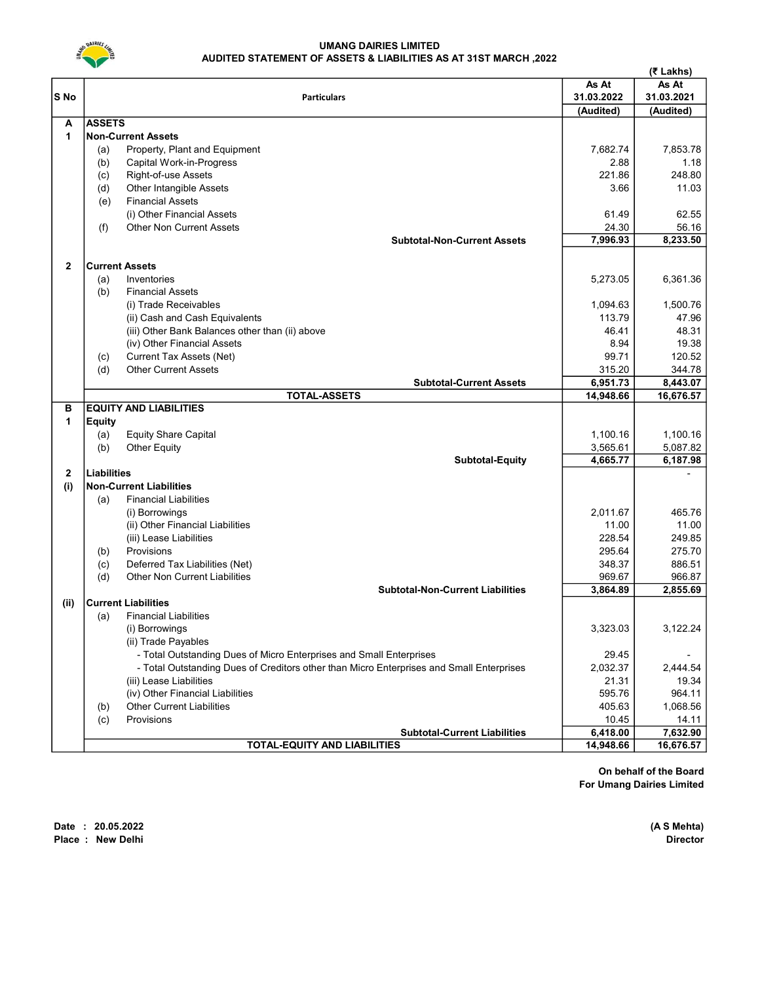

#### UMANG DAIRIES LIMITED AUDITED STATEMENT OF ASSETS & LIABILITIES AS AT 31ST MARCH ,2022

|                 |                                                                                          |           | (₹ Lakhs)  |
|-----------------|------------------------------------------------------------------------------------------|-----------|------------|
|                 | <b>Particulars</b>                                                                       |           | As At      |
| S <sub>No</sub> |                                                                                          |           | 31.03.2021 |
|                 |                                                                                          | (Audited) | (Audited)  |
| A               | <b>ASSETS</b>                                                                            |           |            |
| $\mathbf{1}$    | <b>Non-Current Assets</b>                                                                |           |            |
|                 | Property, Plant and Equipment<br>(a)                                                     | 7.682.74  | 7,853.78   |
|                 | (b)<br>Capital Work-in-Progress                                                          | 2.88      | 1.18       |
|                 | Right-of-use Assets<br>(c)                                                               | 221.86    | 248.80     |
|                 | Other Intangible Assets<br>(d)                                                           | 3.66      | 11.03      |
|                 | <b>Financial Assets</b><br>(e)                                                           |           |            |
|                 | (i) Other Financial Assets                                                               | 61.49     | 62.55      |
|                 | <b>Other Non Current Assets</b><br>(f)                                                   | 24.30     | 56.16      |
|                 | <b>Subtotal-Non-Current Assets</b>                                                       | 7,996.93  | 8,233.50   |
| $\mathbf{2}$    | <b>Current Assets</b>                                                                    |           |            |
|                 | (a)<br>Inventories                                                                       | 5,273.05  | 6,361.36   |
|                 | <b>Financial Assets</b><br>(b)                                                           |           |            |
|                 | (i) Trade Receivables                                                                    | 1,094.63  | 1,500.76   |
|                 | (ii) Cash and Cash Equivalents                                                           | 113.79    | 47.96      |
|                 | (iii) Other Bank Balances other than (ii) above                                          | 46.41     | 48.31      |
|                 | (iv) Other Financial Assets                                                              | 8.94      | 19.38      |
|                 | <b>Current Tax Assets (Net)</b><br>(c)                                                   | 99.71     | 120.52     |
|                 | <b>Other Current Assets</b><br>(d)                                                       | 315.20    | 344.78     |
|                 | <b>Subtotal-Current Assets</b>                                                           | 6.951.73  | 8,443.07   |
|                 | <b>TOTAL-ASSETS</b>                                                                      | 14,948.66 | 16,676.57  |
| в               | <b>EQUITY AND LIABILITIES</b>                                                            |           |            |
| 1               | <b>Equity</b>                                                                            |           |            |
|                 | (a)<br><b>Equity Share Capital</b>                                                       | 1,100.16  | 1,100.16   |
|                 | <b>Other Equity</b><br>(b)                                                               | 3,565.61  | 5,087.82   |
|                 | <b>Subtotal-Equity</b>                                                                   | 4,665.77  | 6,187.98   |
| $\mathbf{2}$    | <b>Liabilities</b>                                                                       |           |            |
| (i)             | <b>Non-Current Liabilities</b>                                                           |           |            |
|                 | <b>Financial Liabilities</b><br>(a)                                                      |           |            |
|                 | (i) Borrowings                                                                           | 2,011.67  | 465.76     |
|                 | (ii) Other Financial Liabilities                                                         | 11.00     | 11.00      |
|                 | (iii) Lease Liabilities                                                                  | 228.54    | 249.85     |
|                 | Provisions<br>(b)                                                                        | 295.64    | 275.70     |
|                 | (c)<br>Deferred Tax Liabilities (Net)                                                    | 348.37    | 886.51     |
|                 | <b>Other Non Current Liabilities</b><br>(d)                                              | 969.67    | 966.87     |
|                 | <b>Subtotal-Non-Current Liabilities</b>                                                  | 3,864.89  | 2,855.69   |
| (ii)            | <b>Current Liabilities</b>                                                               |           |            |
|                 | <b>Financial Liabilities</b><br>(a)                                                      |           |            |
|                 | (i) Borrowings                                                                           | 3,323.03  | 3,122.24   |
|                 | (ii) Trade Payables                                                                      |           |            |
|                 | - Total Outstanding Dues of Micro Enterprises and Small Enterprises                      | 29.45     |            |
|                 | - Total Outstanding Dues of Creditors other than Micro Enterprises and Small Enterprises | 2,032.37  | 2,444.54   |
|                 | (iii) Lease Liabilities                                                                  | 21.31     | 19.34      |
|                 | (iv) Other Financial Liabilities                                                         | 595.76    | 964.11     |
|                 | <b>Other Current Liabilities</b><br>(b)                                                  | 405.63    | 1,068.56   |
|                 | Provisions<br>(c)                                                                        | 10.45     | 14.11      |
|                 | <b>Subtotal-Current Liabilities</b>                                                      | 6,418.00  | 7,632.90   |
|                 | <b>TOTAL-EQUITY AND LIABILITIES</b>                                                      | 14,948.66 | 16,676.57  |

On behalf of the Board For Umang Dairies Limited

Date : 20.05.2022 (A S Mehta)<br>Place : New Delhi Director Place : New Delhi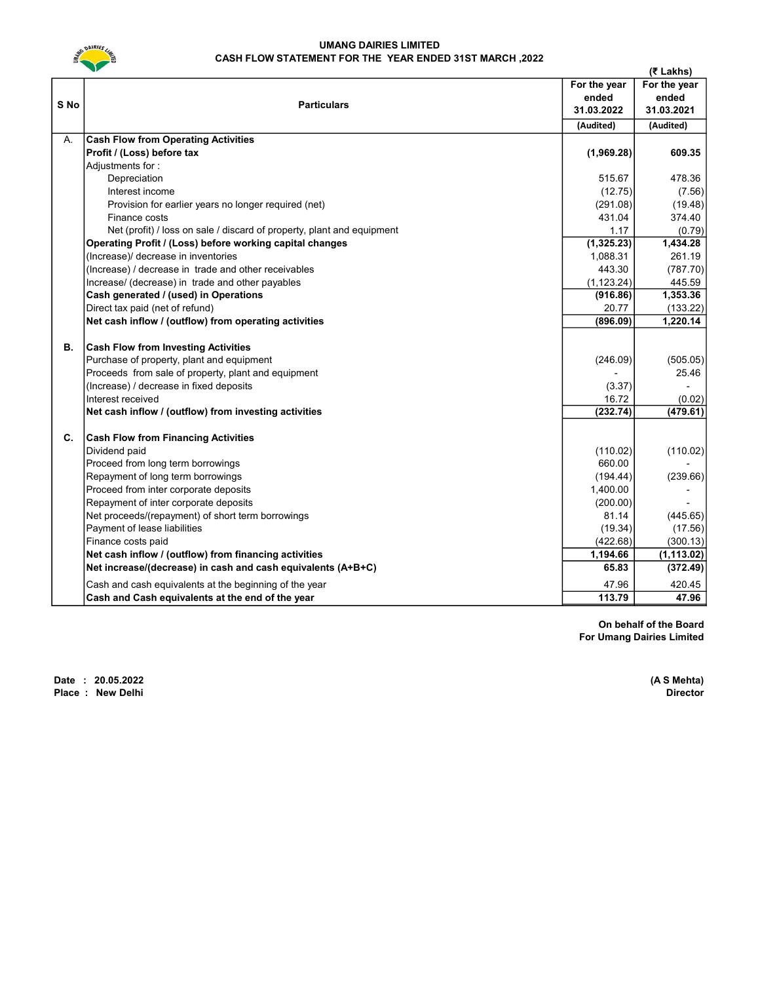

#### UMANG DAIRIES LIMITED CASH FLOW STATEMENT FOR THE YEAR ENDED 31ST MARCH ,2022

|      |                                                                                         |              | (₹ Lakhs)          |
|------|-----------------------------------------------------------------------------------------|--------------|--------------------|
|      |                                                                                         | For the year | For the year       |
|      |                                                                                         | ended        | ended              |
| S No | <b>Particulars</b>                                                                      | 31.03.2022   | 31.03.2021         |
|      |                                                                                         | (Audited)    | (Audited)          |
| А.   | <b>Cash Flow from Operating Activities</b>                                              |              |                    |
|      | Profit / (Loss) before tax                                                              | (1,969.28)   | 609.35             |
|      | Adjustments for:                                                                        |              |                    |
|      | Depreciation                                                                            | 515.67       | 478.36             |
|      | Interest income                                                                         | (12.75)      | (7.56)             |
|      | Provision for earlier years no longer required (net)                                    | (291.08)     | (19.48)            |
|      | Finance costs                                                                           | 431.04       | 374.40             |
|      | Net (profit) / loss on sale / discard of property, plant and equipment                  | 1.17         | (0.79)             |
|      | Operating Profit / (Loss) before working capital changes                                | (1,325.23)   | 1,434.28           |
|      | (Increase)/ decrease in inventories                                                     | 1,088.31     | 261.19             |
|      | (Increase) / decrease in trade and other receivables                                    | 443.30       | (787.70)           |
|      | Increase/ (decrease) in trade and other payables                                        | (1, 123.24)  | 445.59             |
|      | Cash generated / (used) in Operations                                                   | (916.86)     | 1,353.36           |
|      | Direct tax paid (net of refund)                                                         | 20.77        | (133.22)           |
|      | Net cash inflow / (outflow) from operating activities                                   | (896.09)     | 1,220.14           |
| В.   |                                                                                         |              |                    |
|      | <b>Cash Flow from Investing Activities</b><br>Purchase of property, plant and equipment | (246.09)     |                    |
|      | Proceeds from sale of property, plant and equipment                                     |              | (505.05)<br>25.46  |
|      | (Increase) / decrease in fixed deposits                                                 | (3.37)       | $\overline{a}$     |
|      | Interest received                                                                       | 16.72        |                    |
|      | Net cash inflow / (outflow) from investing activities                                   | (232.74)     | (0.02)<br>(479.61) |
|      |                                                                                         |              |                    |
| C.   | <b>Cash Flow from Financing Activities</b>                                              |              |                    |
|      | Dividend paid                                                                           | (110.02)     | (110.02)           |
|      | Proceed from long term borrowings                                                       | 660.00       |                    |
|      | Repayment of long term borrowings                                                       | (194.44)     | (239.66)           |
|      | Proceed from inter corporate deposits                                                   | 1,400.00     |                    |
|      | Repayment of inter corporate deposits                                                   | (200.00)     |                    |
|      | Net proceeds/(repayment) of short term borrowings                                       | 81.14        | (445.65)           |
|      | Payment of lease liabilities                                                            | (19.34)      | (17.56)            |
|      | Finance costs paid                                                                      | (422.68)     | (300.13)           |
|      | Net cash inflow / (outflow) from financing activities                                   | 1,194.66     | (1, 113.02)        |
|      | Net increase/(decrease) in cash and cash equivalents (A+B+C)                            | 65.83        | (372.49)           |
|      | Cash and cash equivalents at the beginning of the year                                  | 47.96        | 420.45             |
|      | Cash and Cash equivalents at the end of the year                                        | 113.79       | 47.96              |

On behalf of the Board For Umang Dairies Limited

Date : 20.05.2022 (A S Mehta)<br>Place : New Delhi Director Place : New Delhi